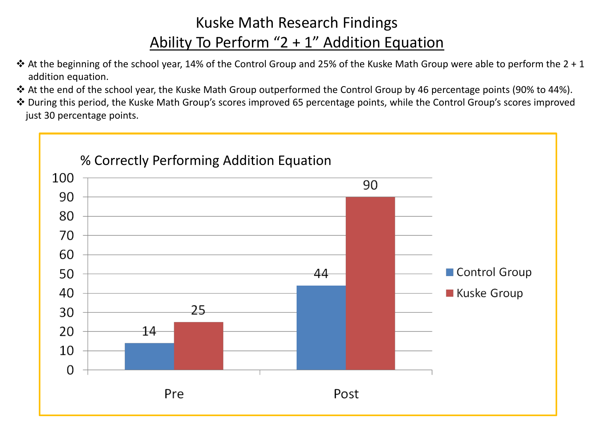## Kuske Math Research Findings Ability To Perform "2 + 1" Addition Equation

- $\cdot$  At the beginning of the school year, 14% of the Control Group and 25% of the Kuske Math Group were able to perform the 2 + 1 addition equation.
- At the end of the school year, the Kuske Math Group outperformed the Control Group by 46 percentage points (90% to 44%).
- During this period, the Kuske Math Group's scores improved 65 percentage points, while the Control Group's scores improved just 30 percentage points.

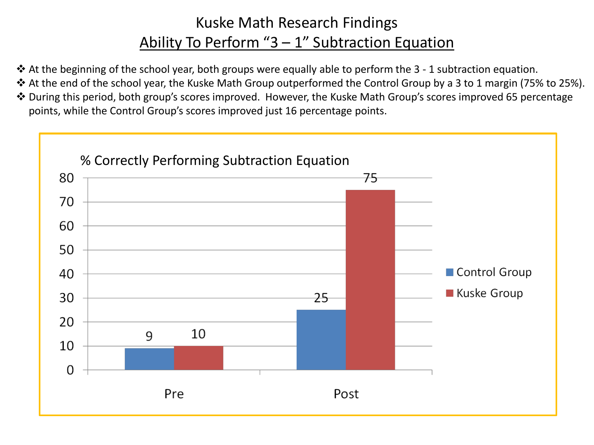## Kuske Math Research Findings Ability To Perform " $3 - 1$ " Subtraction Equation

- At the beginning of the school year, both groups were equally able to perform the 3 1 subtraction equation.
- At the end of the school year, the Kuske Math Group outperformed the Control Group by a 3 to 1 margin (75% to 25%).
- During this period, both group's scores improved. However, the Kuske Math Group's scores improved 65 percentage points, while the Control Group's scores improved just 16 percentage points.